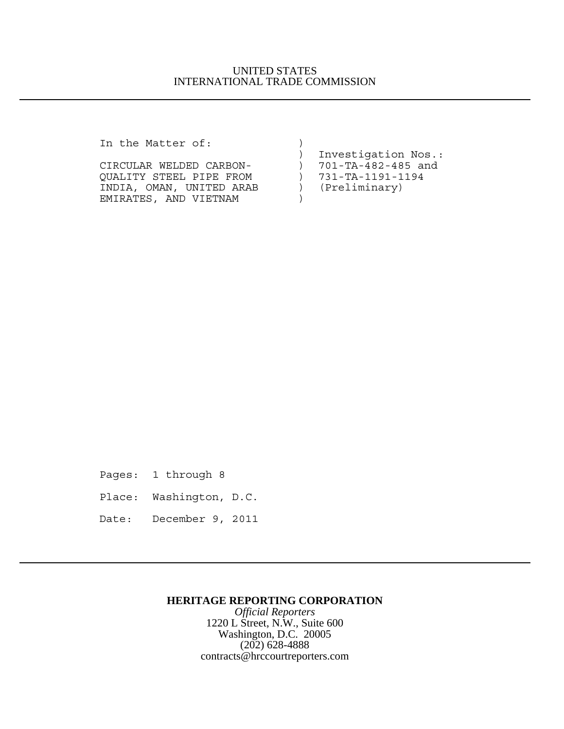## UNITED STATES INTERNATIONAL TRADE COMMISSION

In the Matter of:  $)$ 

| III LIIE MALLEI OI:      |                            |
|--------------------------|----------------------------|
|                          | Investigation Nos.:        |
| CIRCULAR WELDED CARBON-  | 701-TA-482-485 and         |
| OUALITY STEEL PIPE FROM  | $) 731 - TA - 1191 - 1194$ |
| INDIA, OMAN, UNITED ARAB | (Preliminary)              |
| EMIRATES, AND VIETNAM    |                            |

Pages: 1 through 8

Place: Washington, D.C.

Date: December 9, 2011

## **HERITAGE REPORTING CORPORATION**

*Official Reporters* 1220 L Street, N.W., Suite 600 Washington, D.C. 20005 (202) 628-4888 contracts@hrccourtreporters.com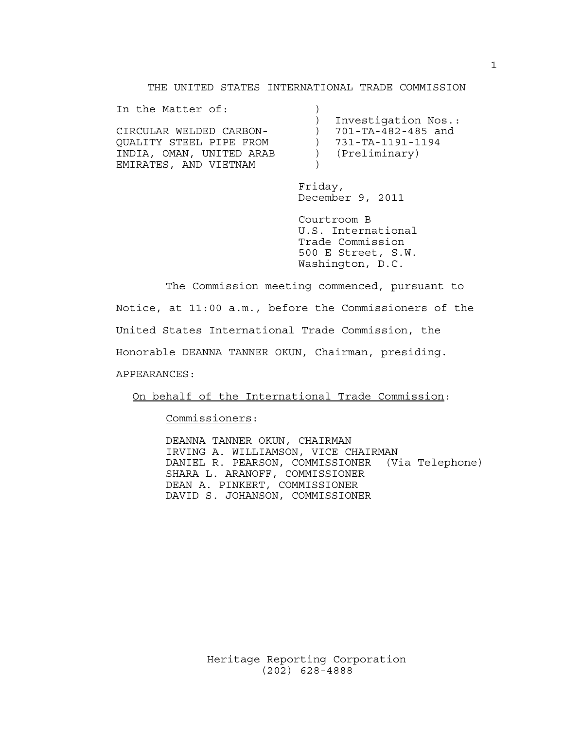### THE UNITED STATES INTERNATIONAL TRADE COMMISSION

| In the Matter of:        |                            |
|--------------------------|----------------------------|
|                          | Investigation Nos.:        |
| CIRCULAR WELDED CARBON-  | $) 701-TA-482-485$ and     |
| OUALITY STEEL PIPE FROM  | $) 731 - TA - 1191 - 1194$ |
| INDIA, OMAN, UNITED ARAB | (Preliminary)              |
| EMIRATES, AND VIETNAM    |                            |

Friday, December 9, 2011

Courtroom B U.S. International Trade Commission 500 E Street, S.W. Washington, D.C.

The Commission meeting commenced, pursuant to Notice, at 11:00 a.m., before the Commissioners of the United States International Trade Commission, the Honorable DEANNA TANNER OKUN, Chairman, presiding. APPEARANCES:

On behalf of the International Trade Commission:

Commissioners:

DEANNA TANNER OKUN, CHAIRMAN IRVING A. WILLIAMSON, VICE CHAIRMAN DANIEL R. PEARSON, COMMISSIONER (Via Telephone) SHARA L. ARANOFF, COMMISSIONER DEAN A. PINKERT, COMMISSIONER DAVID S. JOHANSON, COMMISSIONER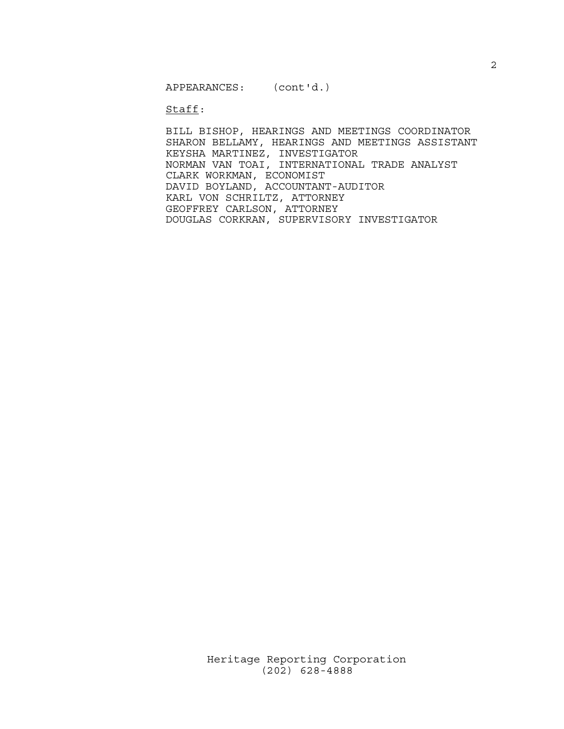APPEARANCES: (cont'd.)

Staff:

BILL BISHOP, HEARINGS AND MEETINGS COORDINATOR SHARON BELLAMY, HEARINGS AND MEETINGS ASSISTANT KEYSHA MARTINEZ, INVESTIGATOR NORMAN VAN TOAI, INTERNATIONAL TRADE ANALYST CLARK WORKMAN, ECONOMIST DAVID BOYLAND, ACCOUNTANT-AUDITOR KARL VON SCHRILTZ, ATTORNEY GEOFFREY CARLSON, ATTORNEY DOUGLAS CORKRAN, SUPERVISORY INVESTIGATOR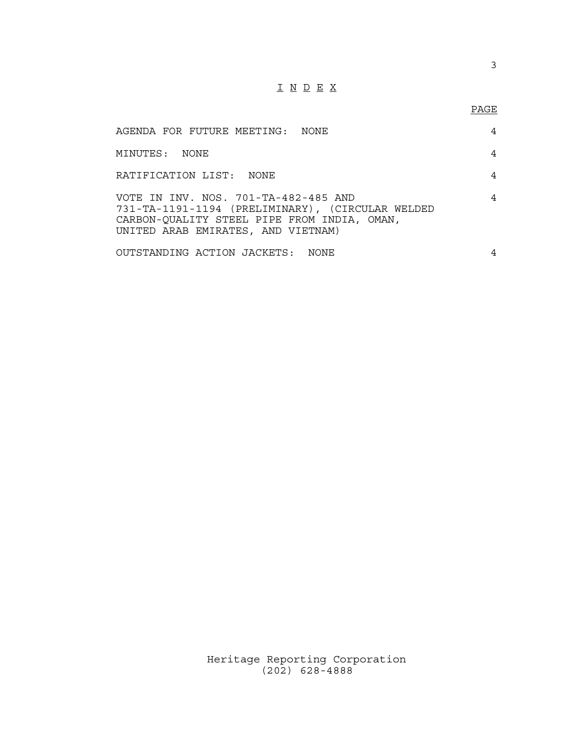# I N D E X

## PAGE

| AGENDA FOR FUTURE MEETING: NONE                                                                                                                                               | 4 |
|-------------------------------------------------------------------------------------------------------------------------------------------------------------------------------|---|
| MINUTES: NONE                                                                                                                                                                 | 4 |
| RATIFICATION LIST: NONE                                                                                                                                                       | 4 |
| VOTE IN INV. NOS. 701-TA-482-485 AND<br>731-TA-1191-1194 (PRELIMINARY), (CIRCULAR WELDED<br>CARBON-QUALITY STEEL PIPE FROM INDIA, OMAN,<br>UNITED ARAB EMIRATES, AND VIETNAM) | 4 |
| OUTSTANDING ACTION JACKETS: NONE                                                                                                                                              | 4 |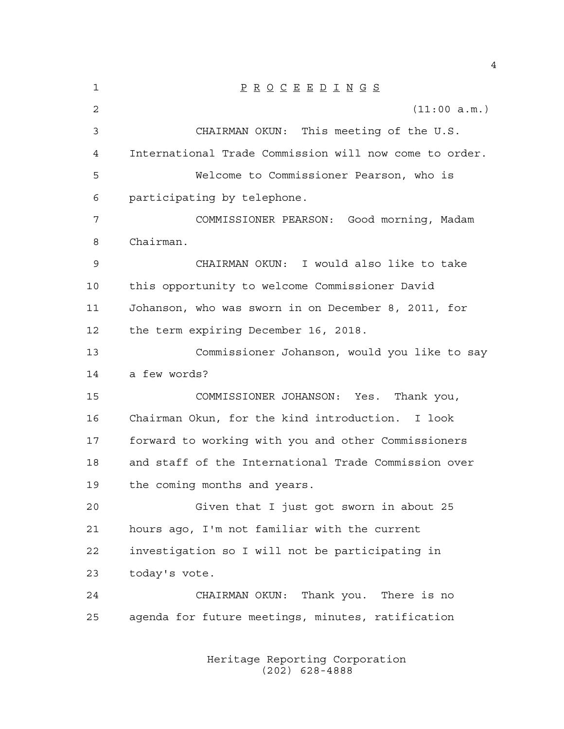| 1  | $\underline{P} \underline{R} \underline{O} \underline{C} \underline{E} \underline{E} \underline{D} \underline{I} \underline{N} \underline{G} \underline{S}$ |
|----|-------------------------------------------------------------------------------------------------------------------------------------------------------------|
| 2  | (11:00 a.m.)                                                                                                                                                |
| 3  | CHAIRMAN OKUN: This meeting of the U.S.                                                                                                                     |
| 4  | International Trade Commission will now come to order.                                                                                                      |
| 5  | Welcome to Commissioner Pearson, who is                                                                                                                     |
| 6  | participating by telephone.                                                                                                                                 |
| 7  | COMMISSIONER PEARSON: Good morning, Madam                                                                                                                   |
| 8  | Chairman.                                                                                                                                                   |
| 9  | CHAIRMAN OKUN: I would also like to take                                                                                                                    |
| 10 | this opportunity to welcome Commissioner David                                                                                                              |
| 11 | Johanson, who was sworn in on December 8, 2011, for                                                                                                         |
| 12 | the term expiring December 16, 2018.                                                                                                                        |
| 13 | Commissioner Johanson, would you like to say                                                                                                                |
| 14 | a few words?                                                                                                                                                |
| 15 | COMMISSIONER JOHANSON: Yes. Thank you,                                                                                                                      |
| 16 | Chairman Okun, for the kind introduction. I look                                                                                                            |
| 17 | forward to working with you and other Commissioners                                                                                                         |
| 18 | and staff of the International Trade Commission over                                                                                                        |
| 19 | the coming months and years.                                                                                                                                |
| 20 | Given that I just got sworn in about 25                                                                                                                     |
| 21 | hours ago, I'm not familiar with the current                                                                                                                |
| 22 | investigation so I will not be participating in                                                                                                             |
| 23 | today's vote.                                                                                                                                               |
| 24 | CHAIRMAN OKUN: Thank you. There is no                                                                                                                       |
| 25 | agenda for future meetings, minutes, ratification                                                                                                           |
|    |                                                                                                                                                             |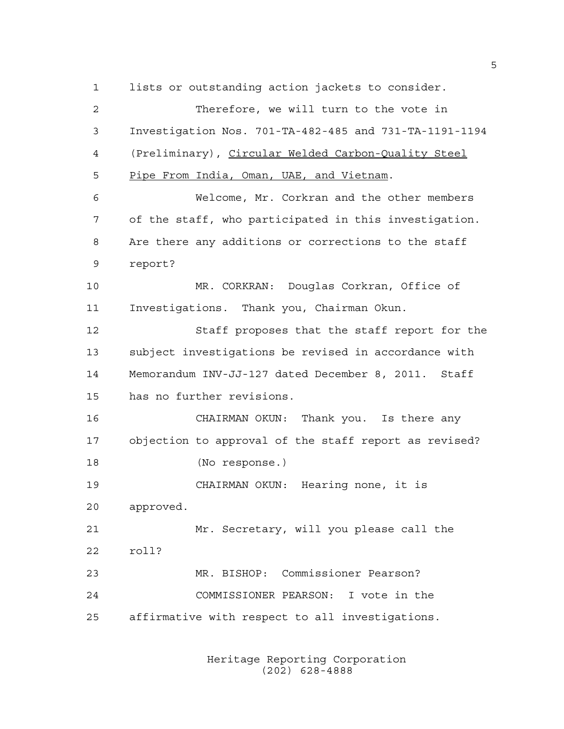lists or outstanding action jackets to consider. Therefore, we will turn to the vote in Investigation Nos. 701-TA-482-485 and 731-TA-1191-1194 (Preliminary), Circular Welded Carbon-Quality Steel Pipe From India, Oman, UAE, and Vietnam. Welcome, Mr. Corkran and the other members of the staff, who participated in this investigation. Are there any additions or corrections to the staff report? MR. CORKRAN: Douglas Corkran, Office of Investigations. Thank you, Chairman Okun. Staff proposes that the staff report for the subject investigations be revised in accordance with Memorandum INV-JJ-127 dated December 8, 2011. Staff has no further revisions. CHAIRMAN OKUN: Thank you. Is there any objection to approval of the staff report as revised? (No response.) CHAIRMAN OKUN: Hearing none, it is approved. Mr. Secretary, will you please call the roll? MR. BISHOP: Commissioner Pearson? COMMISSIONER PEARSON: I vote in the affirmative with respect to all investigations.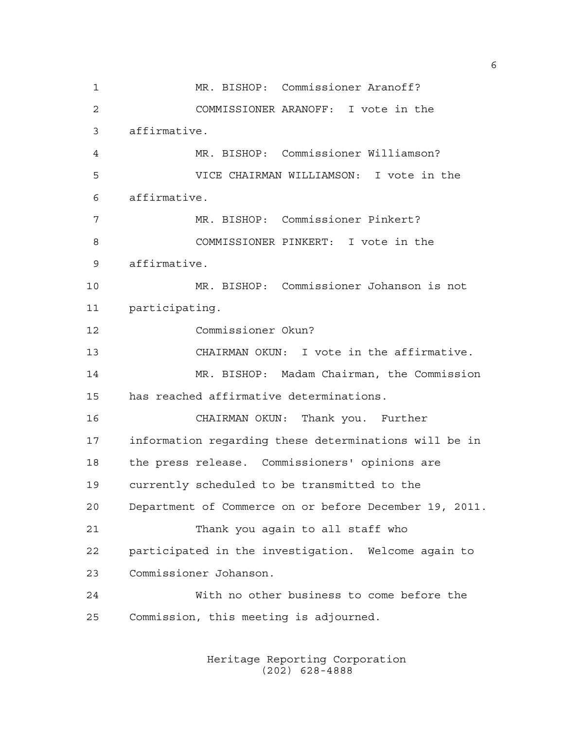MR. BISHOP: Commissioner Aranoff? COMMISSIONER ARANOFF: I vote in the affirmative. MR. BISHOP: Commissioner Williamson? VICE CHAIRMAN WILLIAMSON: I vote in the affirmative. MR. BISHOP: Commissioner Pinkert? COMMISSIONER PINKERT: I vote in the affirmative. MR. BISHOP: Commissioner Johanson is not participating. Commissioner Okun? CHAIRMAN OKUN: I vote in the affirmative. MR. BISHOP: Madam Chairman, the Commission has reached affirmative determinations. CHAIRMAN OKUN: Thank you. Further information regarding these determinations will be in the press release. Commissioners' opinions are currently scheduled to be transmitted to the Department of Commerce on or before December 19, 2011. Thank you again to all staff who participated in the investigation. Welcome again to Commissioner Johanson. With no other business to come before the Commission, this meeting is adjourned.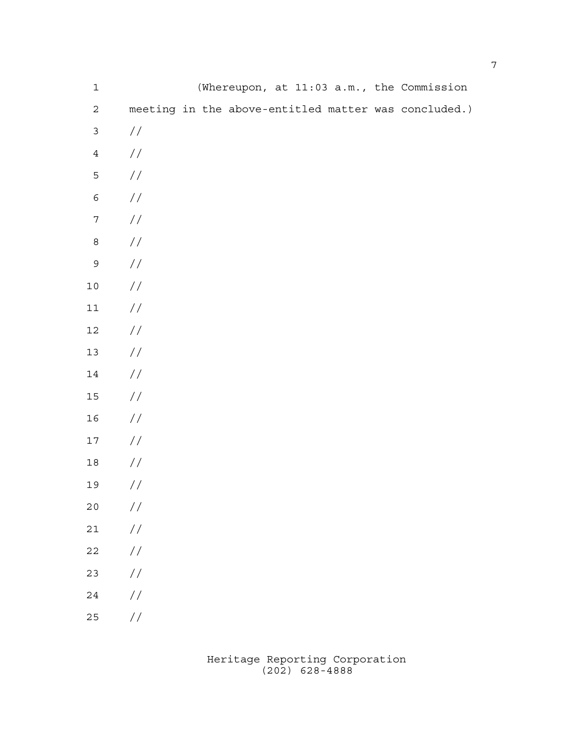| $\mathbf 1$      |               |  |  |  | (Whereupon, at 11:03 a.m., the Commission            |
|------------------|---------------|--|--|--|------------------------------------------------------|
| $\mathbf 2$      |               |  |  |  | meeting in the above-entitled matter was concluded.) |
| $\mathsf{3}$     | //            |  |  |  |                                                      |
| $\ensuremath{4}$ | $\!/\!$       |  |  |  |                                                      |
| 5                | $\!/\!$       |  |  |  |                                                      |
| $\epsilon$       | $\!/\!$       |  |  |  |                                                      |
| $\boldsymbol{7}$ | $\!/\!$       |  |  |  |                                                      |
| $\,8\,$          | $\!/\!$       |  |  |  |                                                      |
| $\mathsf 9$      | $\!/\!$       |  |  |  |                                                      |
| $1\,0$           | $\!/\!$       |  |  |  |                                                      |
| $11\,$           | $\!/\!$       |  |  |  |                                                      |
| $12\,$           | $\!/\!$       |  |  |  |                                                      |
| $13\,$           | $\!/\!$       |  |  |  |                                                      |
| $14\,$           | $\!/\!$       |  |  |  |                                                      |
| $15\,$           | $\!/\!$       |  |  |  |                                                      |
| 16               | $\!/\!$       |  |  |  |                                                      |
| $17\,$           | $\!/\!$       |  |  |  |                                                      |
| $18\,$           | $\sqrt{}$     |  |  |  |                                                      |
| 19               | $\!/\!$       |  |  |  |                                                      |
| 20               | $\frac{1}{2}$ |  |  |  |                                                      |
| 21               | $\!/\!$       |  |  |  |                                                      |
| 22               | $\frac{1}{2}$ |  |  |  |                                                      |
| 23               | $\frac{1}{2}$ |  |  |  |                                                      |
| $2\sqrt{4}$      | $\frac{1}{2}$ |  |  |  |                                                      |
| 25               | $\frac{1}{2}$ |  |  |  |                                                      |